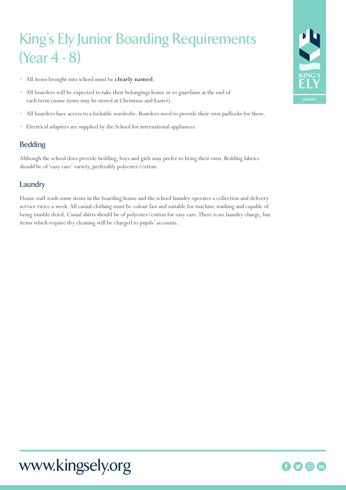# King's Ely Junior Boarding Requirements (Year 4 - 8)

- All items brought into school must be **clearly named**.
- All boarders will be expected to take their belongings home or to guardians at the end of each term (some items may be stored at Christmas and Easter).
- All boarders have access to a lockable wardrobe. Boarders need to provide their own padlocks for these.
- Electrical adapters are supplied by the School for international appliances.

# Bedding

Although the school does provide bedding, boys and girls may prefer to bring their own. Bedding fabrics should be of 'easy care' variety, preferably polyester/cotton.

# Laundry

House staff wash some items in the boarding house and the school laundry operates a collection and delivery service twice a week. All casual clothing must be colour fast and suitable for machine washing and capable of being tumble dried. Casual shirts should be of polyester/cotton for easy care. There is no laundry charge, but items which require dry cleaning will be charged to pupils' accounts.



# www.kingsely.org